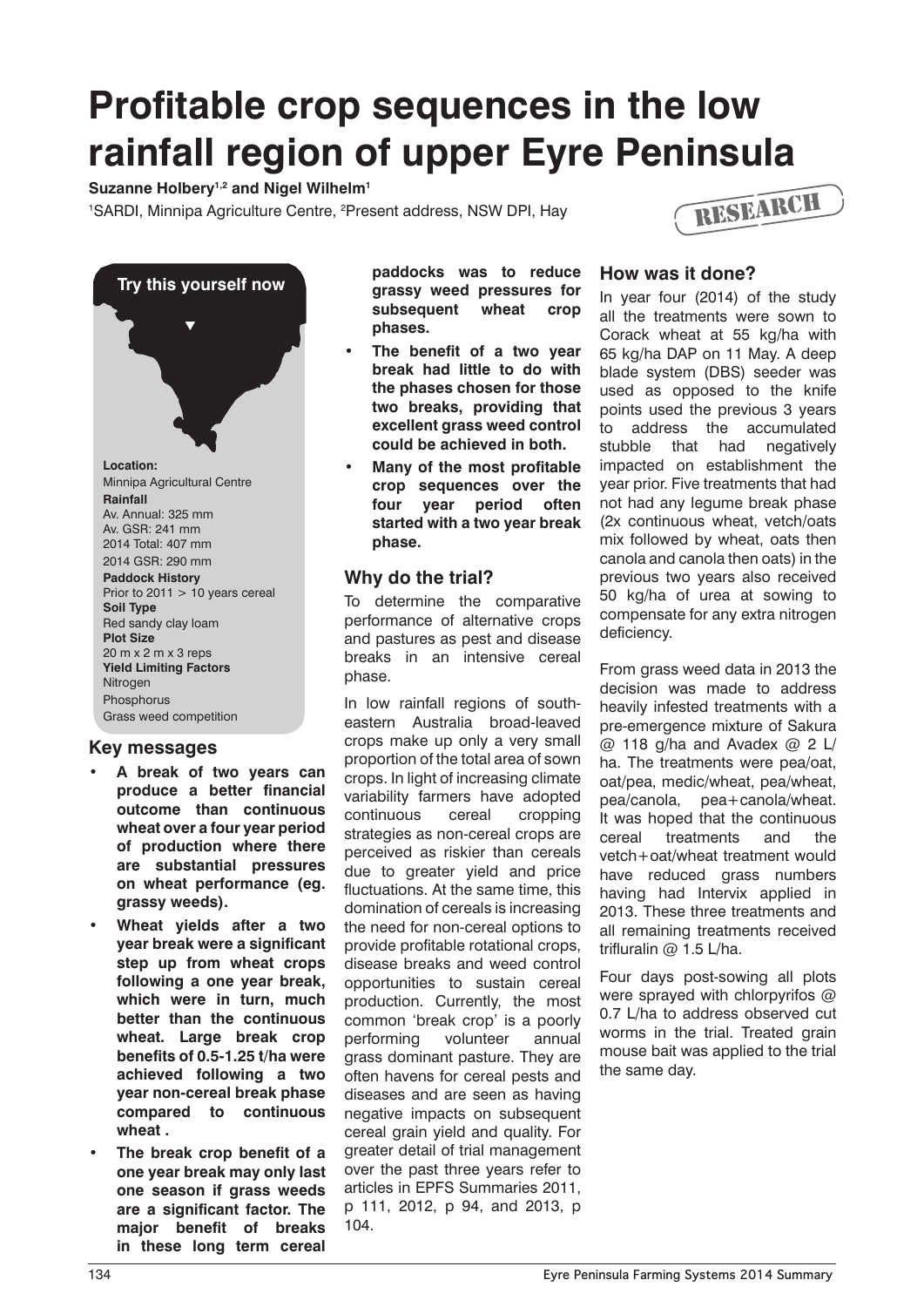# **Profitable crop sequences in the low rainfall region of upper Eyre Peninsula**

Suzanne Holbery<sup>1,2</sup> and Nigel Wilhelm<sup>1</sup>

<sup>1</sup>SARDI, Minnipa Agriculture Centre, <sup>2</sup>Present address, NSW DPI, Hay





# **Key messages**

- **• A break of two years can produce a better financial outcome than continuous wheat over a four year period of production where there are substantial pressures on wheat performance (eg. grassy weeds).**
- **Wheat yields after a two year break were a significant step up from wheat crops following a one year break, which were in turn, much better than the continuous wheat. Large break crop benefits of 0.5-1.25 t/ha were achieved following a two year non-cereal break phase compared to continuous wheat .**
- **The break crop benefit of a one year break may only last one season if grass weeds are a significant factor. The major benefit of breaks in these long term cereal**

**paddocks was to reduce grassy weed pressures for subsequent wheat crop phases.**

- **The benefit of a two year break had little to do with the phases chosen for those two breaks, providing that excellent grass weed control could be achieved in both.**
- **Many of the most profitable crop sequences over the four year period often started with a two year break phase.**

# **Why do the trial?**

To determine the comparative performance of alternative crops and pastures as pest and disease breaks in an intensive cereal phase.

In low rainfall regions of southeastern Australia broad-leaved crops make up only a very small proportion of the total area of sown crops. In light of increasing climate variability farmers have adopted continuous cereal cropping strategies as non-cereal crops are perceived as riskier than cereals due to greater yield and price fluctuations. At the same time, this domination of cereals is increasing the need for non-cereal options to provide profitable rotational crops, disease breaks and weed control opportunities to sustain cereal production. Currently, the most common 'break crop' is a poorly performing volunteer annual grass dominant pasture. They are often havens for cereal pests and diseases and are seen as having negative impacts on subsequent cereal grain yield and quality. For greater detail of trial management over the past three years refer to articles in EPFS Summaries 2011, p 111, 2012, p 94, and 2013, p 104.

### **How was it done?**

In year four (2014) of the study all the treatments were sown to Corack wheat at 55 kg/ha with 65 kg/ha DAP on 11 May. A deep blade system (DBS) seeder was used as opposed to the knife points used the previous 3 years to address the accumulated stubble that had negatively impacted on establishment the year prior. Five treatments that had not had any legume break phase (2x continuous wheat, vetch/oats mix followed by wheat, oats then canola and canola then oats) in the previous two years also received 50 kg/ha of urea at sowing to compensate for any extra nitrogen deficiency.

From grass weed data in 2013 the decision was made to address heavily infested treatments with a pre-emergence mixture of Sakura  $@$  118 g/ha and Avadex  $@$  2 L/ ha. The treatments were pea/oat, oat/pea, medic/wheat, pea/wheat, pea/canola, pea+canola/wheat. It was hoped that the continuous cereal treatments and the vetch+oat/wheat treatment would have reduced grass numbers having had Intervix applied in 2013. These three treatments and all remaining treatments received trifluralin @ 1.5 L/ha.

Four days post-sowing all plots were sprayed with chlorpyrifos @ 0.7 L/ha to address observed cut worms in the trial. Treated grain mouse bait was applied to the trial the same day.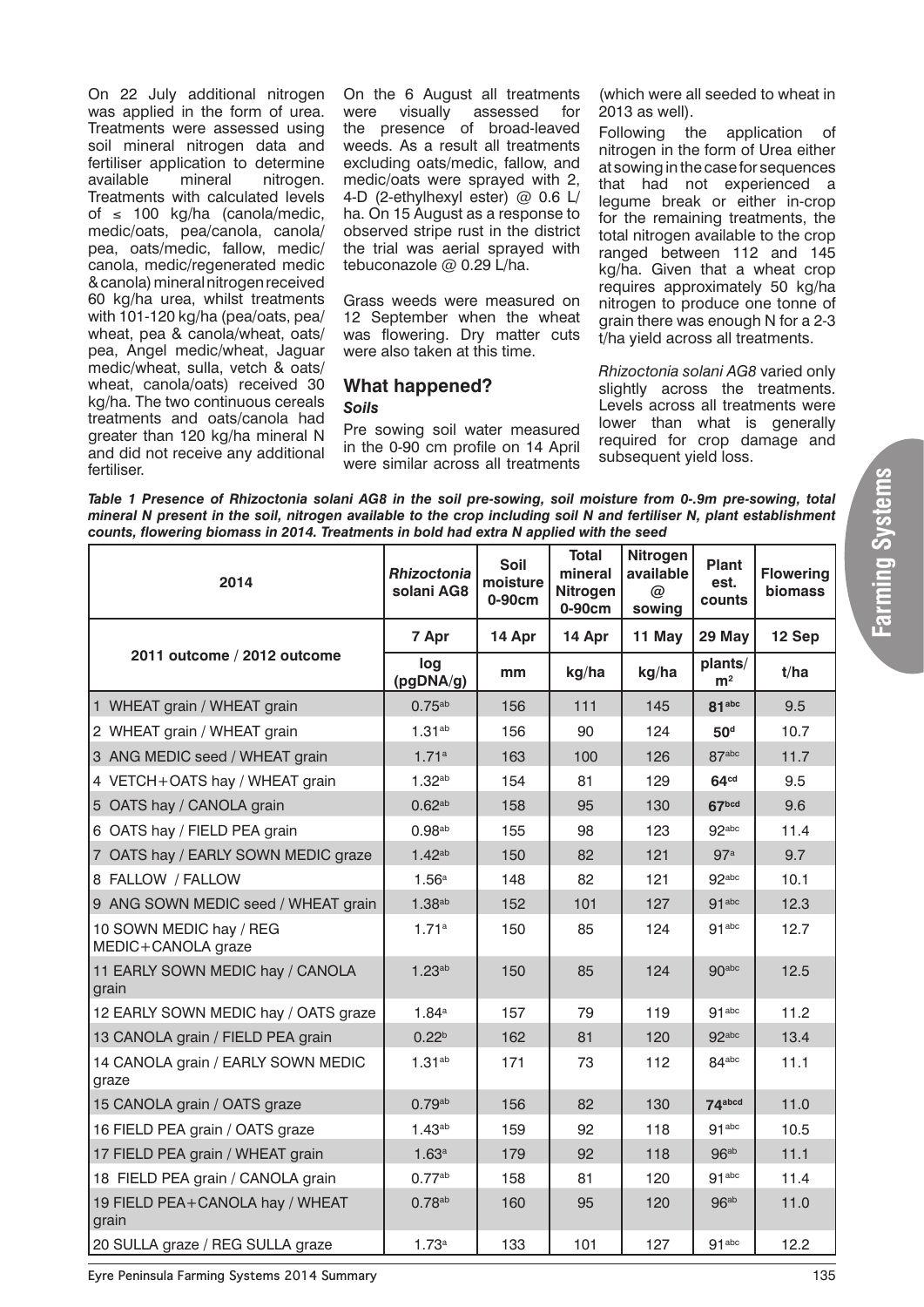On 22 July additional nitrogen was applied in the form of urea. Treatments were assessed using soil mineral nitrogen data and fertiliser application to determine<br>available mineral nitrogen. nitrogen. Treatments with calculated levels of ≤ 100 kg/ha (canola/medic, medic/oats, pea/canola, canola/ pea, oats/medic, fallow, medic/ canola, medic/regenerated medic & canola) mineral nitrogen received 60 kg/ha urea, whilst treatments with 101-120 kg/ha (pea/oats, pea/ wheat, pea & canola/wheat, oats/ pea, Angel medic/wheat, Jaguar medic/wheat, sulla, vetch & oats/ wheat, canola/oats) received 30 kg/ha. The two continuous cereals treatments and oats/canola had greater than 120 kg/ha mineral N and did not receive any additional fertiliser.

On the 6 August all treatments<br>were visually assessed for visually assessed for the presence of broad-leaved weeds. As a result all treatments excluding oats/medic, fallow, and medic/oats were sprayed with 2, 4-D (2-ethylhexyl ester) @ 0.6 L/ ha. On 15 August as a response to observed stripe rust in the district the trial was aerial sprayed with tebuconazole @ 0.29 L/ha.

Grass weeds were measured on 12 September when the wheat was flowering. Dry matter cuts were also taken at this time.

# **What happened?** *Soils*

Pre sowing soil water measured in the 0-90 cm profile on 14 April were similar across all treatments

(which were all seeded to wheat in 2013 as well).

Following the application of nitrogen in the form of Urea either at sowing in the case for sequences that had not experienced a legume break or either in-crop for the remaining treatments, the total nitrogen available to the crop ranged between 112 and 145 kg/ha. Given that a wheat crop requires approximately 50 kg/ha nitrogen to produce one tonne of grain there was enough N for a 2-3 t/ha yield across all treatments.

*Rhizoctonia solani AG8* varied only slightly across the treatments. Levels across all treatments were lower than what is generally required for crop damage and subsequent vield loss.

*Table 1 Presence of Rhizoctonia solani AG8 in the soil pre-sowing, soil moisture from 0-.9m pre-sowing, total mineral N present in the soil, nitrogen available to the crop including soil N and fertiliser N, plant establishment counts, flowering biomass in 2014. Treatments in bold had extra N applied with the seed*

| 2014                                          | <b>Rhizoctonia</b><br>solani AG8 | Soil<br>moisture<br>0-90cm | <b>Total</b><br>mineral<br><b>Nitrogen</b><br>0-90cm | <b>Nitrogen</b><br>available<br>@<br>sowing | <b>Plant</b><br>est.<br>counts | <b>Flowering</b><br>biomass |
|-----------------------------------------------|----------------------------------|----------------------------|------------------------------------------------------|---------------------------------------------|--------------------------------|-----------------------------|
|                                               | 7 Apr                            | 14 Apr                     | 14 Apr                                               | 11 May                                      | 29 May                         | 12 Sep                      |
| 2011 outcome / 2012 outcome                   | log<br>(pgDNA/g)                 | mm                         | kg/ha                                                | kg/ha                                       | plants/<br>m <sup>2</sup>      | t/ha                        |
| 1 WHEAT grain / WHEAT grain                   | $0.75^{ab}$                      | 156                        | 111                                                  | 145                                         | 81 <sub>abc</sub>              | 9.5                         |
| 2 WHEAT grain / WHEAT grain                   | 1.31 <sup>ab</sup>               | 156                        | 90                                                   | 124                                         | 50 <sup>d</sup>                | 10.7                        |
| 3 ANG MEDIC seed / WHEAT grain                | 1.71a                            | 163                        | 100                                                  | 126                                         | 87 <sub>abc</sub>              | 11.7                        |
| 4 VETCH+OATS hay / WHEAT grain                | 1.32 <sup>ab</sup>               | 154                        | 81                                                   | 129                                         | 64 <sup>cd</sup>               | 9.5                         |
| 5 OATS hay / CANOLA grain                     | 0.62 <sup>ab</sup>               | 158                        | 95                                                   | 130                                         | 67 <sub>bcd</sub>              | 9.6                         |
| 6 OATS hay / FIELD PEA grain                  | $0.98$ <sup>ab</sup>             | 155                        | 98                                                   | 123                                         | 92abc                          | 11.4                        |
| 7 OATS hay / EARLY SOWN MEDIC graze           | 1.42 <sup>ab</sup>               | 150                        | 82                                                   | 121                                         | 97a                            | 9.7                         |
| 8 FALLOW / FALLOW                             | 1.56 <sup>a</sup>                | 148                        | 82                                                   | 121                                         | $92$ abc                       | 10.1                        |
| 9 ANG SOWN MEDIC seed / WHEAT grain           | 1.38 <sup>ab</sup>               | 152                        | 101                                                  | 127                                         | 91 <sub>abc</sub>              | 12.3                        |
| 10 SOWN MEDIC hay / REG<br>MEDIC+CANOLA graze | 1.71a                            | 150                        | 85                                                   | 124                                         | 91 <sub>abc</sub>              | 12.7                        |
| 11 EARLY SOWN MEDIC hay / CANOLA<br>grain     | 1.23 <sup>ab</sup>               | 150                        | 85                                                   | 124                                         | 90abc                          | 12.5                        |
| 12 EARLY SOWN MEDIC hay / OATS graze          | 1.84a                            | 157                        | 79                                                   | 119                                         | 91 <sub>abc</sub>              | 11.2                        |
| 13 CANOLA grain / FIELD PEA grain             | 0.22 <sup>b</sup>                | 162                        | 81                                                   | 120                                         | 92abc                          | 13.4                        |
| 14 CANOLA grain / EARLY SOWN MEDIC<br>graze   | 1.31 <sup>ab</sup>               | 171                        | 73                                                   | 112                                         | $84$ <sub>abc</sub>            | 11.1                        |
| 15 CANOLA grain / OATS graze                  | $0.79$ <sup>ab</sup>             | 156                        | 82                                                   | 130                                         | 74 <sub>abcd</sub>             | 11.0                        |
| 16 FIELD PEA grain / OATS graze               | 1.43 <sup>ab</sup>               | 159                        | 92                                                   | 118                                         | 91 <sup>abc</sup>              | 10.5                        |
| 17 FIELD PEA grain / WHEAT grain              | 1.63 <sup>a</sup>                | 179                        | 92                                                   | 118                                         | 96 <sup>ab</sup>               | 11.1                        |
| 18 FIELD PEA grain / CANOLA grain             | 0.77 <sup>ab</sup>               | 158                        | 81                                                   | 120                                         | 91 <sup>abc</sup>              | 11.4                        |
| 19 FIELD PEA+CANOLA hay / WHEAT<br>grain      | $0.78$ <sup>ab</sup>             | 160                        | 95                                                   | 120                                         | 96 <sup>ab</sup>               | 11.0                        |
| 20 SULLA graze / REG SULLA graze              | 1.73a                            | 133                        | 101                                                  | 127                                         | 91 <sub>abc</sub>              | 12.2                        |

**Eyre Peninsula Farming Systems 2014 Summary** 135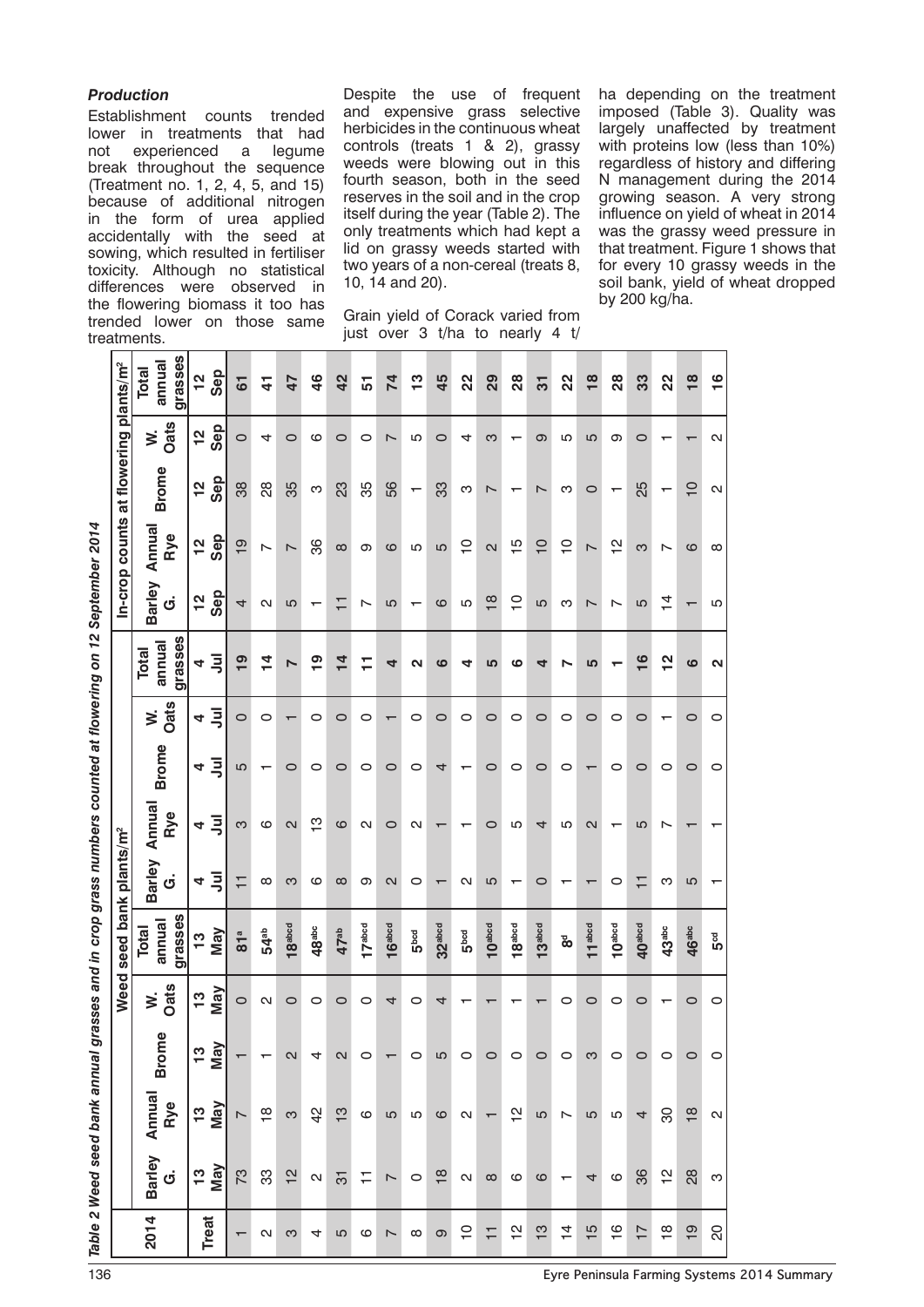### *Production*

Establishment counts trended lower in treatments that had not experienced a legume break throughout the sequence (Treatment no. 1, 2, 4, 5, and 15) because of additional nitrogen in the form of urea applied accidentally with the seed at sowing, which resulted in fertiliser toxicity. Although no statistical differences were observed in the flowering biomass it too has trended lower on those same treatments.

 $\overline{\mathbf{r}}$ 

Despite the use of frequent and expensive grass selective herbicides in the continuous wheat controls (treats 1 & 2), grassy weeds were blowing out in this fourth season, both in the seed reserves in the soil and in the crop itself during the year (Table 2). The only treatments which had kept a lid on grassy weeds started with two years of a non-cereal (treats 8, 10, 14 and 20).

Grain yield of Corack varied from just over 3 t/ha to nearly 4 t/ ha depending on the treatment imposed (Table 3). Quality was largely unaffected by treatment with proteins low (less than 10%) regardless of history and differing N management during the 2014 growing season. A very strong influence on yield of wheat in 2014 was the grassy weed pressure in that treatment. Figure 1 shows that for every 10 grassy weeds in the soil bank, yield of wheat dropped by 200 kg/ha.

|                                                                                                                                                                                                                                                                          | grasses<br>annual<br>Total        | Sep<br>$\frac{2}{1}$        | 61             | $\mathbf{4}$             | 47                 | $\frac{4}{6}$     | 42                | 51      | 74                       | $\frac{3}{2}$    | 45                 | 22               | 29                 | 28                 | 5                  | 22                       | $\frac{8}{1}$      | 28                 | 33                 | 22                | $\frac{8}{1}$         | $\frac{6}{1}$     |
|--------------------------------------------------------------------------------------------------------------------------------------------------------------------------------------------------------------------------------------------------------------------------|-----------------------------------|-----------------------------|----------------|--------------------------|--------------------|-------------------|-------------------|---------|--------------------------|------------------|--------------------|------------------|--------------------|--------------------|--------------------|--------------------------|--------------------|--------------------|--------------------|-------------------|-----------------------|-------------------|
|                                                                                                                                                                                                                                                                          | Oats<br>ż                         | Sep<br>$\frac{1}{2}$        | $\circ$        | 4                        | $\circ$            | ဖ                 | $\circ$           | 0       | $\breve{~}$              | Ю                | $\circ$            | 4                | ო                  |                    | တ                  | Ю                        | LO                 | თ                  | 0                  |                   |                       | Ν                 |
| In-crop counts at flowering plants/m <sup>2</sup>                                                                                                                                                                                                                        | <b>Brome</b>                      | Sep<br>$\frac{1}{2}$        | 38             | 88                       | 35                 | ω                 | 23                | 35      | 56                       | ↽                | 33                 | ო                | ↖                  |                    | ↖                  | က                        | $\circ$            |                    | 25                 |                   | $\overline{C}$        | $\mathbf{\Omega}$ |
|                                                                                                                                                                                                                                                                          | Annual<br>Rye                     | Sep<br>$\frac{1}{2}$        | $\overline{9}$ | $\overline{\phantom{0}}$ | $\overline{ }$     | 86                | $\infty$          | ω       | ဖ                        | 5                | 5                  | $\overline{C}$   | $\mathbf{C}$       | $\frac{5}{1}$      | $\overline{C}$     | $\overline{C}$           | $\overline{ }$     | $\frac{1}{2}$      | က                  | ∼                 | ဖ                     | $\infty$          |
|                                                                                                                                                                                                                                                                          | <b>Barley</b><br>$\dot{\sigma}$   | Sep<br>$\frac{1}{2}$        | 4              | $\sim$                   | 5                  | ↽                 | Ξ                 | ∼       | 5                        |                  | ဖ                  | 5                | $\frac{8}{1}$      | <u>ب</u>           | 5                  | က                        | ∼                  | $\check{~}$        | 5                  | $\overline{4}$    |                       | ပ                 |
|                                                                                                                                                                                                                                                                          | grasses<br>annual<br><b>Total</b> | <sup>=</sup>                | $\frac{9}{1}$  | $\frac{4}{4}$            | N                  | $\overline{9}$    | 14                | Ξ       | 4                        | N                | $\mathbfcal$       | 4                | 5                  | ဖ                  | 4                  |                          | 5                  |                    | $\frac{6}{1}$      | $\frac{2}{1}$     | $\boldsymbol{\omega}$ | N                 |
|                                                                                                                                                                                                                                                                          | Oats<br>¥.                        | $\bar{5}$<br>4              | $\circ$        | $\circ$                  |                    | 0                 | $\circ$           | 0       |                          | 0                | 0                  | 0                | 0                  | 0                  | 0                  | 0                        | 0                  | 0                  | 0                  |                   | $\circ$               | 0                 |
|                                                                                                                                                                                                                                                                          | <b>Brome</b>                      | $\bar{3}$<br>4              | 5              |                          | $\circ$            | $\circ$           | $\circ$           | 0       | 0                        | 0                | 4                  |                  | 0                  | 0                  | 0                  | 0                        |                    | 0                  | 0                  | 0                 | 0                     | O                 |
|                                                                                                                                                                                                                                                                          | Annua<br>Rye                      | $\bar{3}$<br>4              | က              | ဖ                        | $\mathbf{\Omega}$  | $\frac{1}{2}$     | ဖ                 | N       | 0                        | N                |                    |                  | c                  | 5                  | 4                  | Ю                        | N                  |                    | က                  |                   |                       |                   |
|                                                                                                                                                                                                                                                                          | <b>Barley</b><br>$\dot{\sigma}$   | $\bar{3}$<br>4              | Ξ              | $\infty$                 | က                  | ဖ                 | $\infty$          | თ       | 2                        | 0                |                    | N                | ပ                  |                    | 0                  |                          |                    | 0                  | Ξ                  | က                 | 5                     |                   |
| לא האבונה המינוס המוני המוני המוני המוני המוני המוני המוני המוני המוני המוני המוני המוני המוני המוני המוני המו<br>המוני המוני המוני המוני המוני המוני המוני המוני המוני המוני המוני המוני המוני המוני המוני המוני המוני המוני המ<br>Weed seed bank plants/m <sup>2</sup> | grasses<br>annual<br>Total        | <b>May</b><br>$\frac{3}{1}$ | 81a            | 54 <sup>ab</sup>         | 18 <sup>abcd</sup> | 48 <sup>abc</sup> | 47 <sup>ab</sup>  | 17abcd  | 16 <sup>abcd</sup>       | Б <sup>bcd</sup> | 32 <sup>abcd</sup> | 5 <sup>bcd</sup> | 10 <sup>abcd</sup> | 18 <sup>abcd</sup> | 13 <sup>abcd</sup> | შ<br>დ                   | 11 <sup>abcd</sup> | 10 <sup>abcd</sup> | 40 <sup>abcd</sup> | 43 <sup>abc</sup> | 46 <sup>abc</sup>     | 5cd               |
|                                                                                                                                                                                                                                                                          | Oats<br>Š.                        | May<br>$\frac{1}{2}$        | $\circ$        | N                        | $\circ$            | $\circ$           | $\circ$           | 0       | 4                        | 0                | 4                  |                  |                    |                    |                    | 0                        | 0                  | 0                  | 0                  |                   | 0                     | 0                 |
|                                                                                                                                                                                                                                                                          | <b>Brome</b>                      | <b>May</b><br>$\frac{1}{2}$ |                |                          | $\mathbf{\alpha}$  |                   | $\mathbf{\Omega}$ | 0       |                          | $\circ$          | Ю                  | 0                | $\circ$            | 0                  | 0                  | 0                        | က                  | 0                  | $\circ$            | 0                 | 0                     | 0                 |
|                                                                                                                                                                                                                                                                          | Annual<br>Rye                     | May<br>$\frac{1}{2}$        | $\sim$         | $\frac{8}{1}$            | က                  | $\frac{2}{3}$     | $\frac{3}{2}$     | $\circ$ | 5                        | 5                | ဖ                  | И                |                    | $\frac{1}{2}$      | 5                  | $\overline{\phantom{0}}$ | 5                  | 5                  | 4                  | 80                | $\frac{8}{1}$         | $\mathbf{\Omega}$ |
| ann < Meen seen manv ann ag                                                                                                                                                                                                                                              | Barley<br>$\dot{\sigma}$          | Vay<br>$\frac{1}{2}$        | 73             | က္တ                      | $\frac{2}{3}$      | $\mathbf{\Omega}$ | $\overline{5}$    | Ξ       | $\overline{\phantom{0}}$ | $\circ$          | $\frac{8}{1}$      | N                | $\infty$           | ဖ                  | ဖ                  |                          | 4                  | ဖ                  | 36                 | $\frac{1}{2}$     | 28                    | ო                 |
|                                                                                                                                                                                                                                                                          | 2014                              | <b>Treat</b>                |                | Ν                        | က                  | 4                 | LO                | ဖ       | $\overline{\phantom{0}}$ | $\infty$         | ၜ                  | $\overline{C}$   | $\overline{1}$     | $\frac{1}{2}$      | $\frac{3}{5}$      | $\frac{1}{4}$            | $\frac{15}{1}$     | $\frac{6}{1}$      | $\overline{1}$     | $\frac{8}{1}$     | $\overline{9}$        | 20                |

on 12 Sentember 2014 *Table 2 Weed seed bank annual grasses and in crop grass numbers counted at flowering on 12 September 2014*counted at flowering numhare pacun and in cron sassenn Jeiruue Ancy hand Tahla ? Waar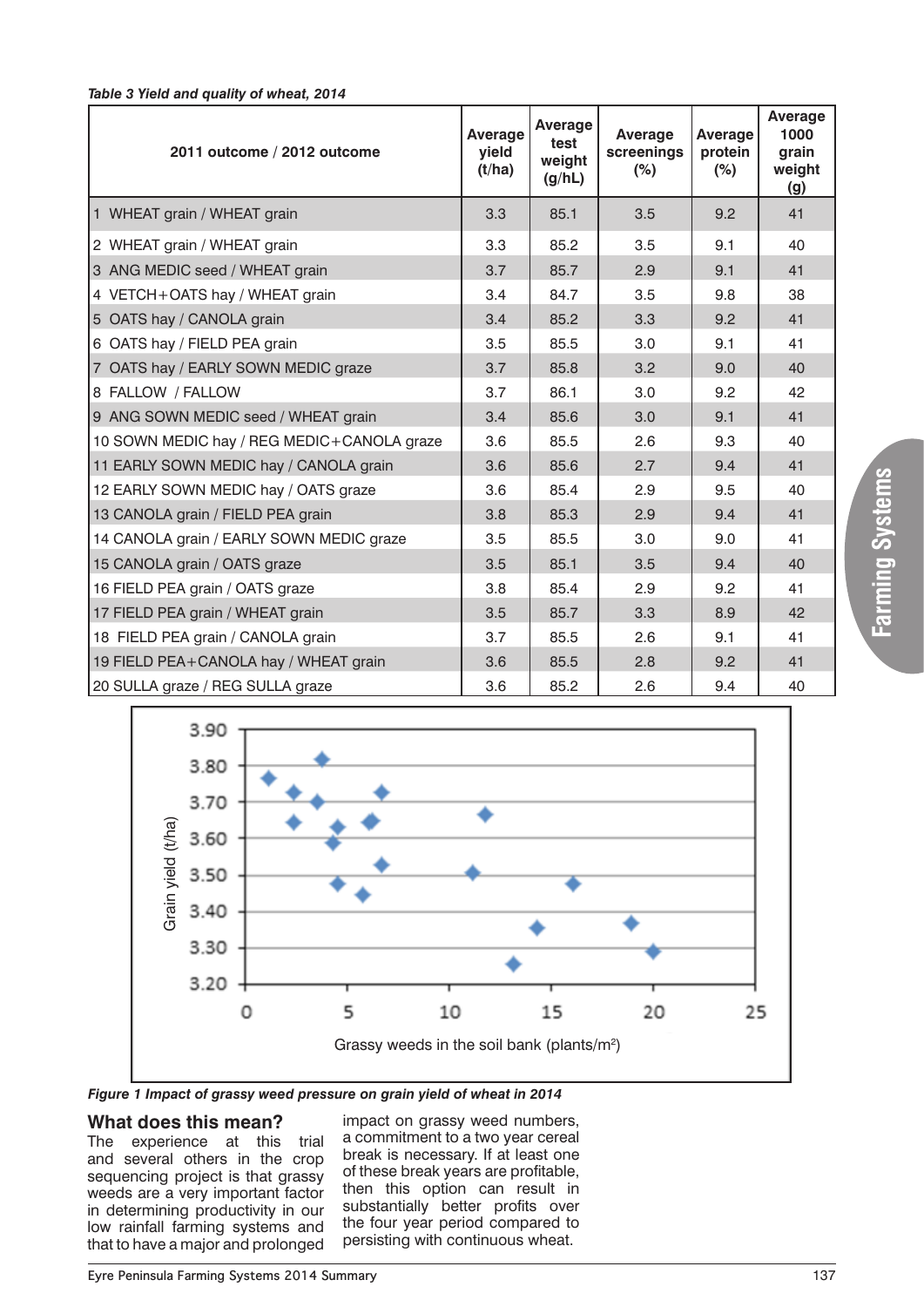| 2011 outcome / 2012 outcome                | Average<br>yield<br>(t/ha) | Average<br>test<br>weight<br>(g/hL) | Average<br>screenings<br>$(\%)$ | Average<br>protein<br>$(\%)$ | Average<br>1000<br>grain<br>weight<br><u>(g)</u> |
|--------------------------------------------|----------------------------|-------------------------------------|---------------------------------|------------------------------|--------------------------------------------------|
| 1 WHEAT grain / WHEAT grain                | 3.3                        | 85.1                                | 3.5                             | 9.2                          | 41                                               |
| 2 WHEAT grain / WHEAT grain                | 3.3                        | 85.2                                | 3.5                             | 9.1                          | 40                                               |
| 3 ANG MEDIC seed / WHEAT grain             | 3.7                        | 85.7                                | 2.9                             | 9.1                          | 41                                               |
| 4 VETCH+OATS hay / WHEAT grain             | 3.4                        | 84.7                                | 3.5                             | 9.8                          | 38                                               |
| 5 OATS hay / CANOLA grain                  | 3.4                        | 85.2                                | 3.3                             | 9.2                          | 41                                               |
| 6 OATS hay / FIELD PEA grain               | 3.5                        | 85.5                                | 3.0                             | 9.1                          | 41                                               |
| 7 OATS hay / EARLY SOWN MEDIC graze        | 3.7                        | 85.8                                | 3.2                             | 9.0                          | 40                                               |
| 8 FALLOW / FALLOW                          | 3.7                        | 86.1                                | 3.0                             | 9.2                          | 42                                               |
| 9 ANG SOWN MEDIC seed / WHEAT grain        | 3.4                        | 85.6                                | 3.0                             | 9.1                          | 41                                               |
| 10 SOWN MEDIC hay / REG MEDIC+CANOLA graze | 3.6                        | 85.5                                | 2.6                             | 9.3                          | 40                                               |
| 11 EARLY SOWN MEDIC hay / CANOLA grain     | 3.6                        | 85.6                                | 2.7                             | 9.4                          | 41                                               |
| 12 EARLY SOWN MEDIC hay / OATS graze       | 3.6                        | 85.4                                | 2.9                             | 9.5                          | 40                                               |
| 13 CANOLA grain / FIELD PEA grain          | 3.8                        | 85.3                                | 2.9                             | 9.4                          | 41                                               |
| 14 CANOLA grain / EARLY SOWN MEDIC graze   | 3.5                        | 85.5                                | 3.0                             | 9.0                          | 41                                               |
| 15 CANOLA grain / OATS graze               | 3.5                        | 85.1                                | 3.5                             | 9.4                          | 40                                               |
| 16 FIELD PEA grain / OATS graze            | 3.8                        | 85.4                                | 2.9                             | 9.2                          | 41                                               |
| 17 FIELD PEA grain / WHEAT grain           | 3.5                        | 85.7                                | 3.3                             | 8.9                          | 42                                               |
| 18 FIELD PEA grain / CANOLA grain          | 3.7                        | 85.5                                | 2.6                             | 9.1                          | 41                                               |
| 19 FIELD PEA+CANOLA hay / WHEAT grain      | 3.6                        | 85.5                                | 2.8                             | 9.2                          | 41                                               |
| 20 SULLA graze / REG SULLA graze           | 3.6                        | 85.2                                | 2.6                             | 9.4                          | 40                                               |



*Table 3 Yield and quality of wheat, 2014*

*Figure 1 Impact of grassy weed pressure on grain yield of wheat in 2014*

# **What does this mean?**

The experience at this trial and several others in the crop sequencing project is that grassy weeds are a very important factor in determining productivity in our low rainfall farming systems and that to have a major and prolonged

impact on grassy weed numbers, a commitment to a two year cereal break is necessary. If at least one of these break years are profitable, then this option can result in substantially better profits over the four year period compared to persisting with continuous wheat.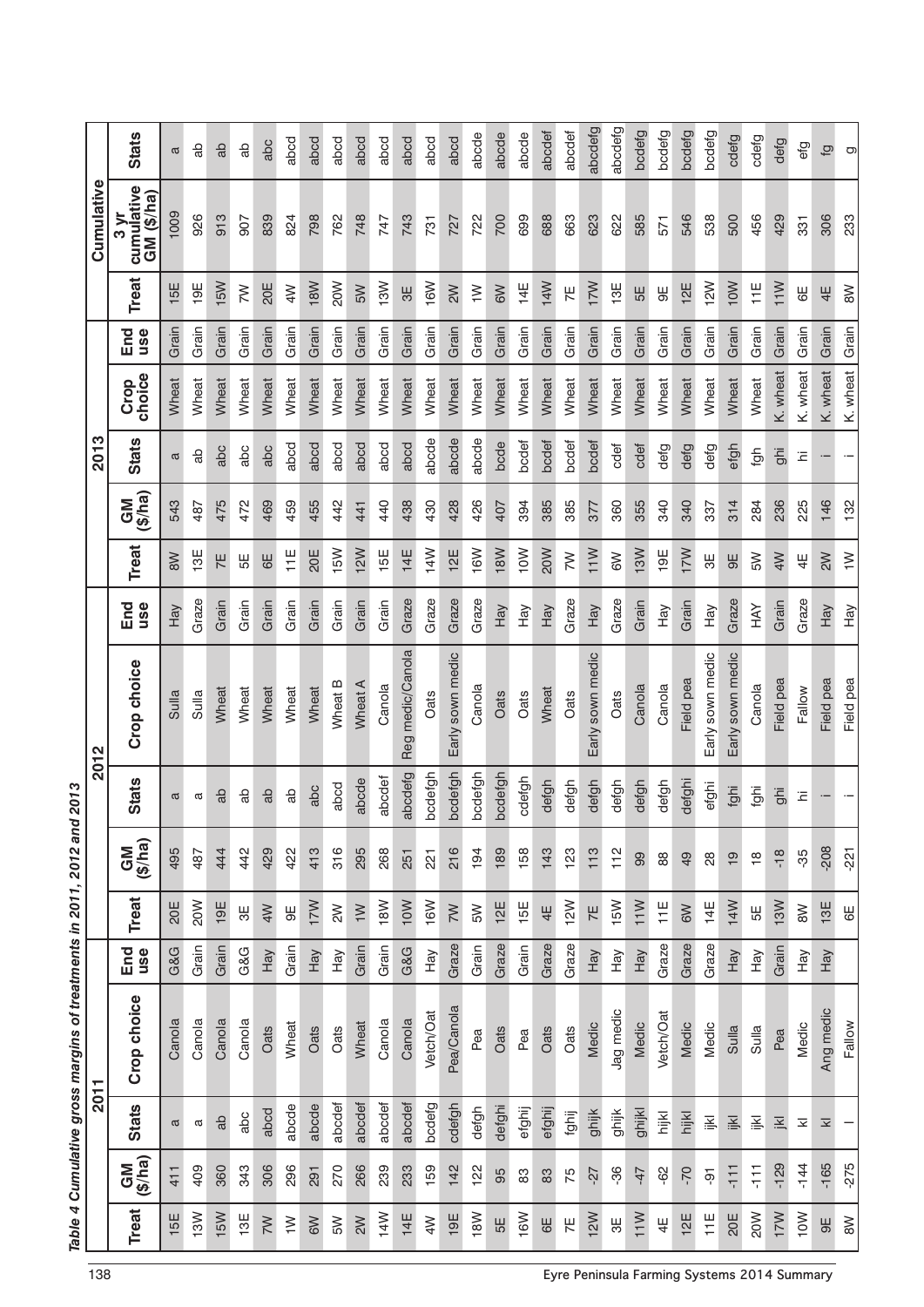|                |                      |                     | 2011        |            |                         |                      |                | 2012             |            |                |               | 2013         |                |            |                | Cumulative                    |              |
|----------------|----------------------|---------------------|-------------|------------|-------------------------|----------------------|----------------|------------------|------------|----------------|---------------|--------------|----------------|------------|----------------|-------------------------------|--------------|
| <b>Treat</b>   | GM<br>(\$/ha)        | <b>Stats</b>        | Crop choice | End<br>use | <b>Treat</b>            | GM<br>(\$/ha)        | <b>Stats</b>   | Crop choice      | End<br>use | <b>Treat</b>   | GM<br>(\$/ha) | <b>Stats</b> | choice<br>Crop | End<br>use | <b>Treat</b>   | cumulative<br>GM (\$/ha)<br>ო | <b>Stats</b> |
| 15E            | 411                  | a                   | Canola      | G&G        | 20E                     | 495                  | ά              | Sulla            | Hay        | $\geqslant$    | 543           | a            | Wheat          | Grain      | 15E            | 1009                          | a            |
| 13W            | 409                  | a                   | Canola      | Grain      | 20W                     | 487                  | α              | Sulla            | Graze      | 13E            | 487           | ಹೆ           | Wheat          | Grain      | 19E            | 926                           | ಇ            |
| 15W            | 360                  | da                  | Canola      | Grain      | 19E                     | 444                  | a <sub>b</sub> | Wheat            | Grain      | 7E             | 475           | abc          | Wheat          | Grain      | 15W            | 913                           | do           |
| 13E            | 343                  | abc                 | Canola      | G&G        | ₩                       | 442                  | Ъ              | Wheat            | Grain      | 55             | 472           | abc          | Wheat          | Grain      | $\geq$         | 907                           | da           |
| $\geq$         | 306                  | abcd                | Oats        | Hay        | 4W                      | 429                  | a <sub>b</sub> | Wheat            | Grain      | $\overline{6}$ | 469           | abc          | Wheat          | Grain      | 20E            | 839                           | abc          |
| $\geq$         | 296                  | abcde               | Wheat       | Grain      | $\overline{9}$          | 422                  | da             | Wheat            | Grain      | ĮΗ             | 459           | abcd         | Wheat          | Grain      | $\leqslant$    | 824                           | abcd         |
| 6W             | 291                  | abcde               | Oats        | Hay        | 17M                     | 413                  | abc            | Wheat            | Grain      | 20E            | 455           | abcd         | Wheat          | Grain      | 18W            | 798                           | abcd         |
| $\geqslant$    | 270                  | abcdef              | Oats        | Hay        | $\gtrapprox$            | 316                  | abcd           | Wheat B          | Grain      | <b>NSI</b>     | 442           | abcd         | Wheat          | Grain      | 20W            | 762                           | abcd         |
| $\geq$         | 266                  | abcdef              | Wheat       | Grain      | $\geq$                  | 295                  | abcde          | Wheat A          | Grain      | 12W            | 441           | abcd         | Wheat          | Grain      | <b>NG</b>      | 748                           | abcd         |
| 14W            | 239                  | abcdef              | Canola      | Grain      | 18 <sub>W</sub>         | 268                  | abcdef         | Canola           | Grain      | 15E            | 440           | abcd         | Wheat          | Grain      | 13M            | 747                           | abcd         |
| 14E            | 233                  | abcdef              | Canola      | G&G        | 10W                     | 251                  | abcdefg        | Reg medic/Canola | Graze      | 14E            | 438           | abcd         | Wheat          | Grain      | 3E             | 743                           | abcd         |
| $\leqslant$    | 159                  | bcdefg              | Vetch/Oat   | Hay        | 16W                     | 221                  | bcdefgh        | Oats             | Graze      | 14W            | 430           | abcde        | Wheat          | Grain      | 16W            | 731                           | abcd         |
| 19E            | 142                  | cdefgh              | Pea/Canola  | Graze      | $\gtrsim$               | 216                  | bcdefgh        | Early sown medic | Graze      | 12E            | 428           | abcde        | Wheat          | Grain      | $\geq$         | 727                           | abcd         |
| 18W            | 122                  | defgh               | Pea         | Grain      | <b>N</b>                | 194                  | bcdefgh        | Canola           | Graze      | 16W            | 426           | abcde        | Wheat          | Grain      | $\geq$         | 722                           | abcde        |
| 5E             | 95                   | defghi              | Oats        | Graze      | 12E                     | 189                  | bcdefgh        | Oats             | Hay        | 18W            | 407           | bcde         | Wheat          | Grain      | <b>N9</b>      | 700                           | abcde        |
| 16W            | 83                   | efghij              | Pea         | Grain      | 15E                     | 158                  | cdefgh         | Oats             | Hay        | $\geq$         | 394           | bcdef        | Wheat          | Grain      | 14E            | 699                           | abcde        |
| $6E$           | $83\,$               | efghij              | Oats        | Graze      | 4E                      | 143                  | defgh          | Wheat            | Hay        | 20W            | 385           | bcdef        | Wheat          | Grain      | 14W            | 688                           | abcdef       |
| 片              | 75                   | fghij               | Oats        | Graze      | 12W                     | 123                  | defgh          | Oats             | Graze      | $\gtrless$     | 385           | bcdef        | Wheat          | Grain      | 片              | 663                           | abcdef       |
| 12W            | -27                  | ghijk               | Medic       | Hay        | 7E                      | 113                  | defgh          | Early sown medic | Hay        | 11M            | 377           | bcdef        | Wheat          | Grain      | $\frac{1}{2}$  | 623                           | abcdefg      |
| ₩              | -36                  | ghijk               | Jag medic   | Hay        | 15W                     | 112                  | defgh          | Oats             | Graze      | $\approx$      | 360           | cdef         | Wheat          | Grain      | 13E            | 622                           | abcdefg      |
| 11M            | 47                   | ghijkl              | Medic       | Hay        | 11M                     | 8                    | defgh          | Canola           | Grain      | 13W            | 355           | cdef         | Wheat          | Grain      | 5E             | 585                           | bcdefg       |
| $\frac{11}{4}$ | 85                   | hijkl               | Vetch/Oat   | Graze      | $\overline{\mathbb{H}}$ | 88                   | defgh          | Canola           | Hay        | 19E            | 340           | defg         | Wheat          | Grain      | ₩              | 571                           | bcdefg       |
| 12E            | $-70$                | hijkl               | Medic       | Graze      | 6W                      | 49                   | defghi         | Field pea        | Grain      | $\frac{2}{1}$  | 340           | defg         | Wheat          | Grain      | 12E            | 546                           | bcdefg       |
| 11E            | $\overline{\varphi}$ | 译                   | Medic       | Graze      | 14 $E$                  | $_{28}$              | efghi          | Early sown medic | Hay        | ₩              | 337           | defg         | Wheat          | Grain      | 12W            | 538                           | bcdefg       |
| 20E            | $-111$               | 函                   | Sulla       | Hay        | 14W                     | $\overline{9}$       | fghi           | Early sown medic | Graze      | 9E             | 314           | efgh         | Wheat          | Grain      | 10W            | 500                           | cdefg        |
| 20W            | $-111$               | 译                   | Sulla       | Hay        | 55                      | $\overset{\circ}{=}$ | fghi           | Canola           | KHH        | <b>N</b>       | 284           | fgh          | Wheat          | Grain      | $11E$          | 456                           | cdefg        |
| 17W            | $-129$               | 区                   | Pea         | Grain      | 13W                     | $-18$                | iqio           | Field pea        | Grain      | $\leqslant$    | 236           | ghi          | K. wheat       | Grain      | 11M            | 429                           | defg         |
| 10M            | $-144$               | $\overline{\times}$ | Medic       | Hay        | $\geqslant$             | $-35$                | Ë              | Fallow           | Graze      | $\ddagger$     | 225           | Ξ            | K. wheat       | Grain      | $\overline{6}$ | 331                           | еfg          |
| 9E             | $-165$               | $\overline{\times}$ | Ang medic   | Hay        | 13E                     | $-208$               |                | Field pea        | Hay        | $\geq$         | 146           |              | K. wheat       | Grain      | 4E             | 306                           | Ģ            |
| $\approx$      | $-275$               |                     | Fallow      |            | 59                      | $-221$               |                | Field pea        | Hay        | $\geq$         | 132           |              | K. wheat       | Grain      | $\geqslant$    | 233                           | g            |

Table 4 Cumulative gross margins of treatments in 2011, 2012 and 2013 *Table 4 Cumulative gross margins of treatments in 2011, 2012 and 2013*